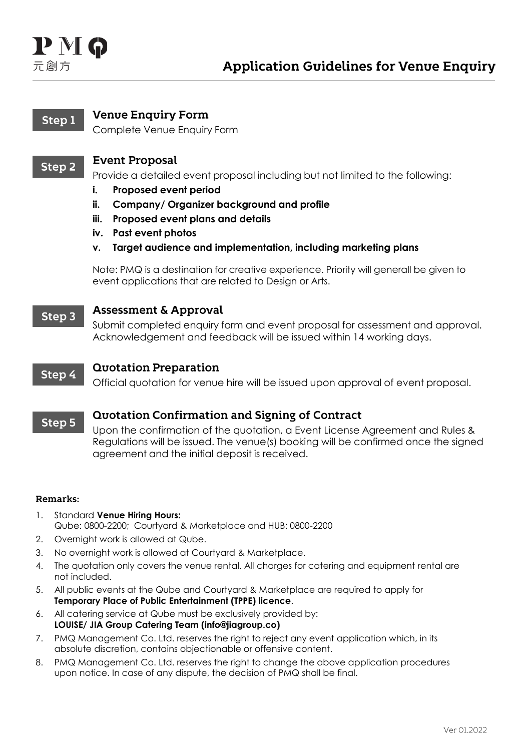# $P M G$ 元創方

### **Venue Enquiry Form** Step 1

Complete Venue Enquiry Form

#### **Event Proposal** Step<sub>2</sub>

Provide a detailed event proposal including but not limited to the following:

- **i. Proposed event period**
- **ii. Company/ Organizer background and profile**
- **iii. Proposed event plans and details**
- **iv. Past event photos**
- **v. Target audience and implementation, including marketing plans**

Note: PMQ is a destination for creative experience. Priority will generall be given to event applications that are related to Design or Arts.

#### **Assessment & Approval** Step<sub>3</sub>

Submit completed enquiry form and event proposal for assessment and approval. Acknowledgement and feedback will be issued within 14 working days.

#### **Quotation Preparation** Step 4

Official quotation for venue hire will be issued upon approval of event proposal.

#### **Quotation Confirmation and Signing of Contract** Step 5

Upon the confirmation of the quotation, a Event License Agreement and Rules & Regulations will be issued. The venue(s) booking will be confirmed once the signed agreement and the initial deposit is received.

## Remarks:

- 1. Standard **Venue Hiring Hours:** Qube: 0800-2200; Courtyard & Marketplace and HUB: 0800-2200
- 2. Overnight work is allowed at Qube.
- 3. No overnight work is allowed at Courtyard & Marketplace.
- 4. The quotation only covers the venue rental. All charges for catering and equipment rental are not included.
- 5. All public events at the Qube and Courtyard & Marketplace are required to apply for **Temporary Place of Public Entertainment (TPPE) licence**.
- 6. All catering service at Qube must be exclusively provided by: **LOUISE/ JIA Group Catering Team (info@jiagroup.co)**
- 7. PMQ Management Co. Ltd. reserves the right to reject any event application which, in its absolute discretion, contains objectionable or offensive content.
- 8. PMQ Management Co. Ltd. reserves the right to change the above application procedures upon notice. In case of any dispute, the decision of PMQ shall be final.